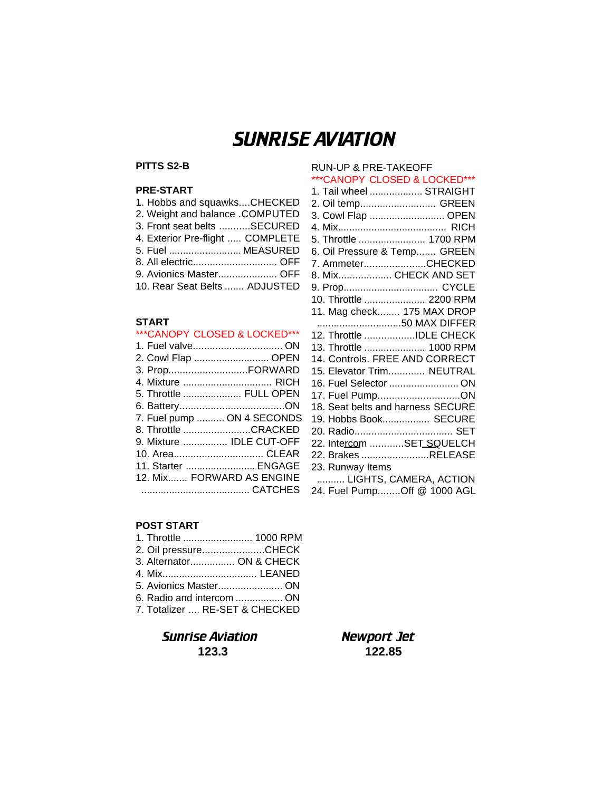# SUNRISE AVIATION

## **PITTS S2-B**

#### **PRE-START**

| 1. Hobbs and squawksCHECKED      |
|----------------------------------|
| 2. Weight and balance .COMPUTED  |
| 3. Front seat belts SECURED      |
| 4. Exterior Pre-flight  COMPLETE |
| 5. Fuel  MEASURED                |
| 8. All electric OFF              |
| 9. Avionics Master OFF           |
| 10. Rear Seat Belts  ADJUSTED    |

#### **START**

#### \*\*\*CANOPY CLOSED & LOCKED\*\*\*

| 2. Cowl Flap  OPEN         |  |
|----------------------------|--|
| 3. PropFORWARD             |  |
| 4. Mixture  RICH           |  |
| 5. Throttle  FULL OPEN     |  |
|                            |  |
| 7. Fuel pump  ON 4 SECONDS |  |
| 8. Throttle CRACKED        |  |
| 9. Mixture  IDLE CUT-OFF   |  |
| 10. Area CLEAR             |  |
| 11. Starter  ENGAGE        |  |
| 12. Mix FORWARD AS ENGINE  |  |
|                            |  |
|                            |  |

#### \*\*\*CANOPY CLOSED & LOCKED\*\*\* 1. Tail wheel ................... STRAIGHT 2. Oil temp........................... GREEN 3. Cowl Flap ........................... OPEN 4. Mix....................................... RICH 5. Throttle ........................ 1700 RPM 6. Oil Pressure & Temp....... GREEN 7. Ammeter......................CHECKED 8. Mix................... CHECK AND SET 9. Prop.................................. CYCLE 10. Throttle ...................... 2200 RPM 11. Mag check........ 175 MAX DROP ..............................50 MAX DIFFER 12. Throttle ..................IDLE CHECK 13. Throttle ...................... 1000 RPM 14. Controls. FREE AND CORRECT 15. Elevator Trim............. NEUTRAL 16. Fuel Selector ......................... ON 17. Fuel Pump.............................ON 18. Seat belts and harness SECURE 19. Hobbs Book................. SECURE 20. Radio................................... SET 22. Intercom ...........SET\_SQUELCH 22. Brakes ........................RELEASE 23. Runway Items .......... LIGHTS, CAMERA, ACTION 24. Fuel Pump........Off @ 1000 AGL

RUN-UP & PRE-TAKEOFF

#### **POST START**

| 1. Throttle  1000 RPM          |  |
|--------------------------------|--|
| 2. Oil pressureCHECK           |  |
| 3. Alternator ON & CHECK       |  |
|                                |  |
| 5. Avionics Master ON          |  |
| 6. Radio and intercom  ON      |  |
| 7. Totalizer  RE-SET & CHECKED |  |
|                                |  |

# Sunrise Aviation Newport Jet **123.3 122.85**